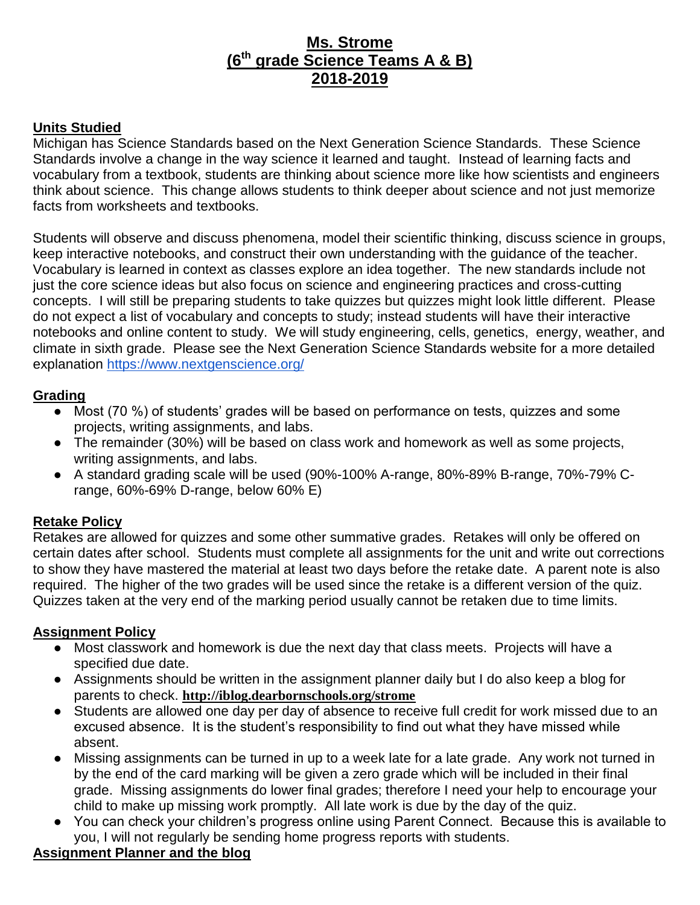# **Ms. Strome (6th grade Science Teams A & B) 2018-2019**

## **Units Studied**

Michigan has Science Standards based on the Next Generation Science Standards. These Science Standards involve a change in the way science it learned and taught. Instead of learning facts and vocabulary from a textbook, students are thinking about science more like how scientists and engineers think about science. This change allows students to think deeper about science and not just memorize facts from worksheets and textbooks.

Students will observe and discuss phenomena, model their scientific thinking, discuss science in groups, keep interactive notebooks, and construct their own understanding with the guidance of the teacher. Vocabulary is learned in context as classes explore an idea together. The new standards include not just the core science ideas but also focus on science and engineering practices and cross-cutting concepts. I will still be preparing students to take quizzes but quizzes might look little different. Please do not expect a list of vocabulary and concepts to study; instead students will have their interactive notebooks and online content to study. We will study engineering, cells, genetics, energy, weather, and climate in sixth grade. Please see the Next Generation Science Standards website for a more detailed explanation<https://www.nextgenscience.org/>

### **Grading**

- Most (70 %) of students' grades will be based on performance on tests, quizzes and some projects, writing assignments, and labs.
- The remainder (30%) will be based on class work and homework as well as some projects, writing assignments, and labs.
- A standard grading scale will be used (90%-100% A-range, 80%-89% B-range, 70%-79% Crange, 60%-69% D-range, below 60% E)

# **Retake Policy**

Retakes are allowed for quizzes and some other summative grades. Retakes will only be offered on certain dates after school. Students must complete all assignments for the unit and write out corrections to show they have mastered the material at least two days before the retake date. A parent note is also required. The higher of the two grades will be used since the retake is a different version of the quiz. Quizzes taken at the very end of the marking period usually cannot be retaken due to time limits.

### **Assignment Policy**

- Most classwork and homework is due the next day that class meets. Projects will have a specified due date.
- Assignments should be written in the assignment planner daily but I do also keep a blog for parents to check. **http://iblog.dearbornschools.org/strome**
- Students are allowed one day per day of absence to receive full credit for work missed due to an excused absence. It is the student's responsibility to find out what they have missed while absent.
- Missing assignments can be turned in up to a week late for a late grade. Any work not turned in by the end of the card marking will be given a zero grade which will be included in their final grade. Missing assignments do lower final grades; therefore I need your help to encourage your child to make up missing work promptly. All late work is due by the day of the quiz.
- You can check your children's progress online using Parent Connect. Because this is available to you, I will not regularly be sending home progress reports with students.

# **Assignment Planner and the blog**